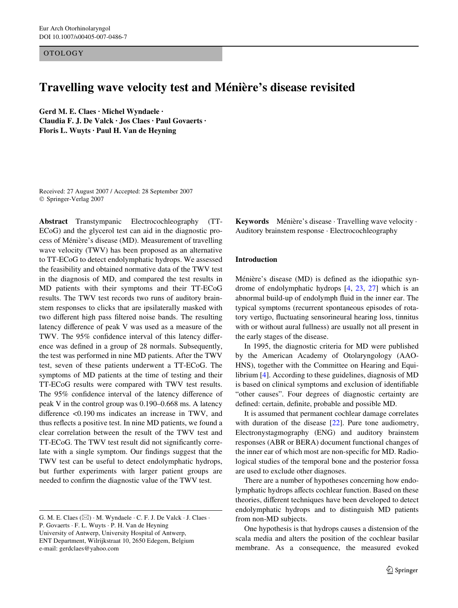OTOLOGY

# **Travelling wave velocity test and Ménière's disease revisited**

**Gerd M. E. Claes · Michel Wyndaele · Claudia F. J. De Valck · Jos Claes · Paul Govaerts · Floris L. Wuyts · Paul H. Van de Heyning** 

Received: 27 August 2007 / Accepted: 28 September 2007 © Springer-Verlag 2007

**Abstract** Transtympanic Electrocochleography (TT-ECoG) and the glycerol test can aid in the diagnostic process of Ménière's disease (MD). Measurement of travelling wave velocity (TWV) has been proposed as an alternative to TT-ECoG to detect endolymphatic hydrops. We assessed the feasibility and obtained normative data of the TWV test in the diagnosis of MD, and compared the test results in MD patients with their symptoms and their TT-ECoG results. The TWV test records two runs of auditory brainstem responses to clicks that are ipsilaterally masked with two different high pass filtered noise bands. The resulting latency difference of peak V was used as a measure of the TWV. The 95% confidence interval of this latency difference was defined in a group of 28 normals. Subsequently, the test was performed in nine MD patients. After the TWV test, seven of these patients underwent a TT-ECoG. The symptoms of MD patients at the time of testing and their TT-ECoG results were compared with TWV test results. The 95% confidence interval of the latency difference of peak V in the control group was 0.190–0.668 ms. A latency difference  $\langle 0.190 \text{ ms} \rangle$  indicates an increase in TWV, and thus reflects a positive test. In nine MD patients, we found a clear correlation between the result of the TWV test and TT-ECoG. The TWV test result did not significantly correlate with a single symptom. Our findings suggest that the TWV test can be useful to detect endolymphatic hydrops, but further experiments with larger patient groups are needed to confirm the diagnostic value of the TWV test.

**Keywords** Ménière's disease · Travelling wave velocity · Auditory brainstem response · Electrocochleography

#### **Introduction**

Ménière's disease (MD) is defined as the idiopathic syndrome of endolymphatic hydrops [[4,](#page-6-0) [23](#page-6-1), [27\]](#page-6-2) which is an abnormal build-up of endolymph fluid in the inner ear. The typical symptoms (recurrent spontaneous episodes of rotatory vertigo, fluctuating sensorineural hearing loss, tinnitus with or without aural fullness) are usually not all present in the early stages of the disease.

In 1995, the diagnostic criteria for MD were published by the American Academy of Otolaryngology (AAO-HNS), together with the Committee on Hearing and Equilibrium [\[4](#page-6-0)]. According to these guidelines, diagnosis of MD is based on clinical symptoms and exclusion of identifiable "other causes". Four degrees of diagnostic certainty are defined: certain, definite, probable and possible MD.

It is assumed that permanent cochlear damage correlates with duration of the disease [[22\]](#page-6-3). Pure tone audiometry, Electronystagmography (ENG) and auditory brainstem responses (ABR or BERA) document functional changes of the inner ear of which most are non-specific for MD. Radiological studies of the temporal bone and the posterior fossa are used to exclude other diagnoses.

There are a number of hypotheses concerning how endolymphatic hydrops affects cochlear function. Based on these theories, different techniques have been developed to detect endolymphatic hydrops and to distinguish MD patients from non-MD subjects.

One hypothesis is that hydrops causes a distension of the scala media and alters the position of the cochlear basilar membrane. As a consequence, the measured evoked

G. M. E. Claes  $(\boxtimes) \cdot$  M. Wyndaele  $\cdot$  C. F. J. De Valck  $\cdot$  J. Claes  $\cdot$ P. Govaerts · F. L. Wuyts · P. H. Van de Heyning

University of Antwerp, University Hospital of Antwerp, ENT Department, Wilrijkstraat 10, 2650 Edegem, Belgium e-mail: gerdclaes@yahoo.com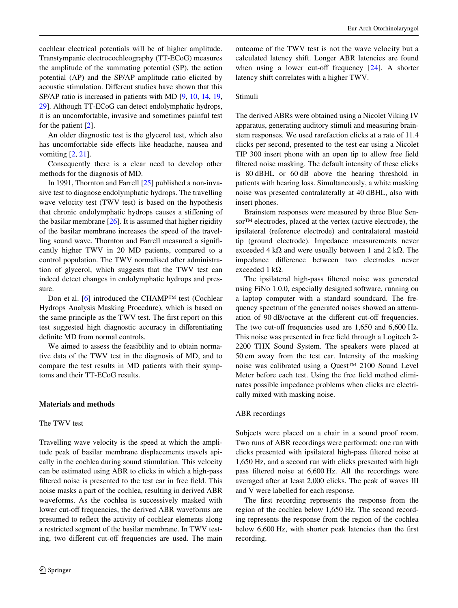cochlear electrical potentials will be of higher amplitude. Transtympanic electrocochleography (TT-ECoG) measures the amplitude of the summating potential (SP), the action potential (AP) and the SP/AP amplitude ratio elicited by acoustic stimulation. Different studies have shown that this SP/AP ratio is increased in patients with MD [\[9](#page-6-4), [10](#page-6-5), [14,](#page-6-6) [19,](#page-6-7) [29\]](#page-6-8). Although TT-ECoG can detect endolymphatic hydrops, it is an uncomfortable, invasive and sometimes painful test for the patient [[2\]](#page-6-9).

An older diagnostic test is the glycerol test, which also has uncomfortable side effects like headache, nausea and vomiting [[2,](#page-6-9) [21\]](#page-6-10).

Consequently there is a clear need to develop other methods for the diagnosis of MD.

In 1991, Thornton and Farrell [[25\]](#page-6-11) published a non-invasive test to diagnose endolymphatic hydrops. The travelling wave velocity test (TWV test) is based on the hypothesis that chronic endolymphatic hydrops causes a stiffening of the basilar membrane [\[26](#page-6-12)]. It is assumed that higher rigidity of the basilar membrane increases the speed of the travelling sound wave. Thornton and Farrell measured a significantly higher TWV in 20 MD patients, compared to a control population. The TWV normalised after administration of glycerol, which suggests that the TWV test can indeed detect changes in endolymphatic hydrops and pressure.

Don et al. [\[6](#page-6-13)] introduced the CHAMP™ test (Cochlear Hydrops Analysis Masking Procedure), which is based on the same principle as the TWV test. The first report on this test suggested high diagnostic accuracy in differentiating definite MD from normal controls.

We aimed to assess the feasibility and to obtain normative data of the TWV test in the diagnosis of MD, and to compare the test results in MD patients with their symptoms and their TT-ECoG results.

## **Materials and methods**

## The TWV test

Travelling wave velocity is the speed at which the amplitude peak of basilar membrane displacements travels apically in the cochlea during sound stimulation. This velocity can be estimated using ABR to clicks in which a high-pass filtered noise is presented to the test ear in free field. This noise masks a part of the cochlea, resulting in derived ABR waveforms. As the cochlea is successively masked with lower cut-off frequencies, the derived ABR waveforms are presumed to reflect the activity of cochlear elements along a restricted segment of the basilar membrane. In TWV testing, two different cut-off frequencies are used. The main outcome of the TWV test is not the wave velocity but a calculated latency shift. Longer ABR latencies are found when using a lower cut-off frequency  $[24]$  $[24]$ . A shorter latency shift correlates with a higher TWV.

# Stimuli

The derived ABRs were obtained using a Nicolet Viking IV apparatus, generating auditory stimuli and measuring brainstem responses. We used rarefaction clicks at a rate of 11.4 clicks per second, presented to the test ear using a Nicolet TIP 300 insert phone with an open tip to allow free field filtered noise masking. The default intensity of these clicks is 80 dBHL or 60 dB above the hearing threshold in patients with hearing loss. Simultaneously, a white masking noise was presented contralaterally at 40 dBHL, also with insert phones.

Brainstem responses were measured by three Blue Sensor™ electrodes, placed at the vertex (active electrode), the ipsilateral (reference electrode) and contralateral mastoid tip (ground electrode). Impedance measurements never exceeded 4 k $\Omega$  and were usually between 1 and 2 k $\Omega$ . The impedance difference between two electrodes never exceeded 1 k $\Omega$ .

The ipsilateral high-pass filtered noise was generated using FiNo 1.0.0, especially designed software, running on a laptop computer with a standard soundcard. The frequency spectrum of the generated noises showed an attenuation of 90 dB/octave at the different cut-off frequencies. The two cut-off frequencies used are  $1,650$  and  $6,600$  Hz. This noise was presented in free field through a Logitech 2-2200 THX Sound System. The speakers were placed at 50 cm away from the test ear. Intensity of the masking noise was calibrated using a Quest™ 2100 Sound Level Meter before each test. Using the free field method eliminates possible impedance problems when clicks are electrically mixed with masking noise.

## ABR recordings

Subjects were placed on a chair in a sound proof room. Two runs of ABR recordings were performed: one run with clicks presented with ipsilateral high-pass filtered noise at 1,650 Hz, and a second run with clicks presented with high pass filtered noise at 6,600 Hz. All the recordings were averaged after at least 2,000 clicks. The peak of waves III and V were labelled for each response.

The first recording represents the response from the region of the cochlea below 1,650 Hz. The second recording represents the response from the region of the cochlea below 6,600 Hz, with shorter peak latencies than the first recording.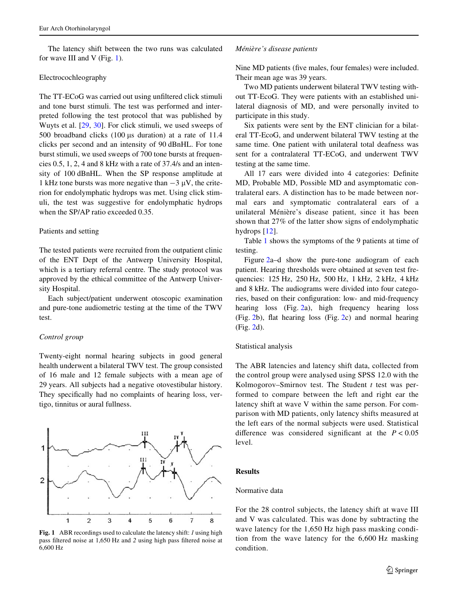The latency shift between the two runs was calculated for wave III and V (Fig. [1\)](#page-2-0).

#### Electrocochleography

The TT-ECoG was carried out using unfiltered click stimuli and tone burst stimuli. The test was performed and interpreted following the test protocol that was published by Wuyts et al. [[29,](#page-6-8) [30](#page-6-15)]. For click stimuli, we used sweeps of 500 broadband clicks  $(100 \mu s$  duration) at a rate of 11.4 clicks per second and an intensity of 90 dBnHL. For tone burst stimuli, we used sweeps of 700 tone bursts at frequencies 0.5, 1, 2, 4 and 8 kHz with a rate of 37.4/s and an intensity of 100 dBnHL. When the SP response amplitude at 1 kHz tone bursts was more negative than  $-3 \mu V$ , the criterion for endolymphatic hydrops was met. Using click stimuli, the test was suggestive for endolymphatic hydrops when the SP/AP ratio exceeded 0.35.

## Patients and setting

The tested patients were recruited from the outpatient clinic of the ENT Dept of the Antwerp University Hospital, which is a tertiary referral centre. The study protocol was approved by the ethical committee of the Antwerp University Hospital.

Each subject/patient underwent otoscopic examination and pure-tone audiometric testing at the time of the TWV test.

## *Control group*

Twenty-eight normal hearing subjects in good general health underwent a bilateral TWV test. The group consisted of 16 male and 12 female subjects with a mean age of 29 years. All subjects had a negative otovestibular history. They specifically had no complaints of hearing loss, vertigo, tinnitus or aural fullness.



<span id="page-2-0"></span>**Fig. 1** ABR recordings used to calculate the latency shift: *1* using high pass filtered noise at 1,650 Hz and 2 using high pass filtered noise at 6,600 Hz

#### *Ménière's disease patients*

Nine MD patients (five males, four females) were included. Their mean age was 39 years.

Two MD patients underwent bilateral TWV testing without TT-EcoG. They were patients with an established unilateral diagnosis of MD, and were personally invited to participate in this study.

Six patients were sent by the ENT clinician for a bilateral TT-EcoG, and underwent bilateral TWV testing at the same time. One patient with unilateral total deafness was sent for a contralateral TT-ECoG, and underwent TWV testing at the same time.

All 17 ears were divided into 4 categories: Definite MD, Probable MD, Possible MD and asymptomatic contralateral ears. A distinction has to be made between normal ears and symptomatic contralateral ears of a unilateral Ménière's disease patient, since it has been shown that 27% of the latter show signs of endolymphatic hydrops [[12](#page-6-16)].

Table [1](#page-3-0) shows the symptoms of the 9 patients at time of testing.

Figure [2](#page-3-1)a–d show the pure-tone audiogram of each patient. Hearing thresholds were obtained at seven test frequencies: 125 Hz, 250 Hz, 500 Hz, 1 kHz, 2 kHz, 4 kHz and 8 kHz. The audiograms were divided into four categories, based on their configuration: low- and mid-frequency hearing loss (Fig. [2a](#page-3-1)), high frequency hearing loss (Fig. [2b](#page-3-1)), flat hearing loss (Fig. [2c](#page-3-1)) and normal hearing (Fig. [2d](#page-3-1)).

#### Statistical analysis

The ABR latencies and latency shift data, collected from the control group were analysed using SPSS 12.0 with the Kolmogorov–Smirnov test. The Student *t* test was performed to compare between the left and right ear the latency shift at wave V within the same person. For comparison with MD patients, only latency shifts measured at the left ears of the normal subjects were used. Statistical difference was considered significant at the  $P < 0.05$ level.

## **Results**

# Normative data

For the 28 control subjects, the latency shift at wave III and V was calculated. This was done by subtracting the wave latency for the 1,650 Hz high pass masking condition from the wave latency for the 6,600 Hz masking condition.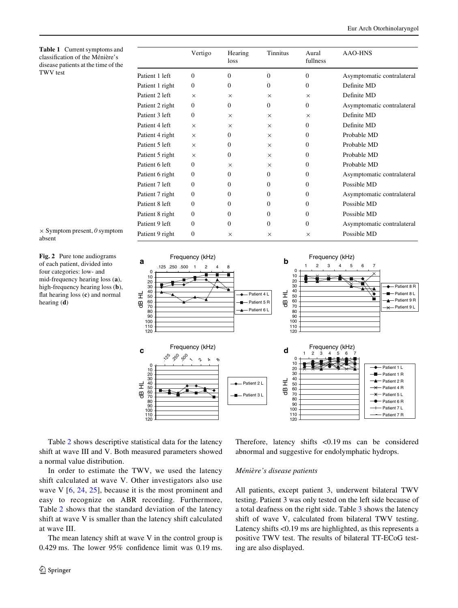<span id="page-3-0"></span>**Table 1** Current symptoms and classification of the Ménière's disease patients at the time of the TWV test

|                 | Vertigo        | Hearing<br>loss | Tinnitus | Aural<br>fullness | AAO-HNS                    |
|-----------------|----------------|-----------------|----------|-------------------|----------------------------|
| Patient 1 left  | $\Omega$       | $\mathbf{0}$    | $\Omega$ | $\Omega$          | Asymptomatic contralateral |
| Patient 1 right | $\Omega$       | $\Omega$        | $\Omega$ | $\Omega$          | Definite MD                |
| Patient 2 left  | $\times$       | $\times$        | $\times$ | $\times$          | Definite MD                |
| Patient 2 right | $\Omega$       | $\Omega$        | $\Omega$ | $\Omega$          | Asymptomatic contralateral |
| Patient 3 left  | $\Omega$       | $\times$        | $\times$ | $\times$          | Definite MD                |
| Patient 4 left  | $\times$       | $\times$        | $\times$ | $\Omega$          | Definite MD                |
| Patient 4 right | $\times$       | $\Omega$        | $\times$ | $\Omega$          | Probable MD                |
| Patient 5 left  | $\times$       | $\Omega$        | $\times$ | $\Omega$          | Probable MD                |
| Patient 5 right | $\times$       | $\Omega$        | $\times$ | $\Omega$          | Probable MD                |
| Patient 6 left  | $\Omega$       | $\times$        | $\times$ | $\Omega$          | Probable MD                |
| Patient 6 right | $\Omega$       | $\Omega$        | $\Omega$ | $\Omega$          | Asymptomatic contralateral |
| Patient 7 left  | $\Omega$       | $\mathbf{0}$    | $\Omega$ | $\Omega$          | Possible MD                |
| Patient 7 right | $\Omega$       | $\Omega$        | $\Omega$ | $\Omega$          | Asymptomatic contralateral |
| Patient 8 left  | $\Omega$       | $\Omega$        | $\Omega$ | $\Omega$          | Possible MD                |
| Patient 8 right | $\Omega$       | $\Omega$        | $\Omega$ | $\Omega$          | Possible MD                |
| Patient 9 left  | $\Omega$       | $\Omega$        | $\Omega$ | $\Omega$          | Asymptomatic contralateral |
| Patient 9 right | $\overline{0}$ | $\times$        | $\times$ | $\times$          | Possible MD                |

 $\times$  Symptom present,  $\theta$  symptom absent

<span id="page-3-1"></span>**Fig. 2** Pure tone audiograms of each patient, divided into four categories: low- and mid-frequency hearing loss (**a**), high-frequency hearing loss (**b**), flat hearing loss  $(c)$  and normal hearing (**d**)

Frequency (kHz) **b** Frequency (kHz) **a** b .125 .250 .500 1234567 1248 0<br>10 0 10 20 30 20 30 Patient 8 R dB HL 40 50 60 70 40 50 60 70 80 90 Patient 4 L Patient 8 L dB HL Patient 9 R Patient 5 R ÷  $\frac{1}{2}$ Patient 9 L Patient 6 L 80 90 100 100 110  $110$ 120  $120$ **c** Frequency (kHz) **d** Frequency (kHz) 1234567  $\mathcal{P}$  $\phi$  as  $\sim$ 4 $\circ$ 0  $\hat{\phantom{1}}$ 10 0 10 20 30 40 50 60 70 80 90 100 110 120 Patient 1 L 20 30 Patient 1 R 40 50 dB HL Patient 2 R dB HL Patient 2 L Patient 4 R 60 70 80 Patient 3 L Patient 5 L Patient 6 R 90 100 Patient 7 L 110 Patient 7 R  $120$ 

Table [2](#page-4-0) shows descriptive statistical data for the latency shift at wave III and V. Both measured parameters showed a normal value distribution.

In order to estimate the TWV, we used the latency shift calculated at wave V. Other investigators also use wave V  $[6, 24, 25]$  $[6, 24, 25]$  $[6, 24, 25]$  $[6, 24, 25]$  $[6, 24, 25]$  $[6, 24, 25]$  $[6, 24, 25]$ , because it is the most prominent and easy to recognize on ABR recording. Furthermore, Table [2](#page-4-0) shows that the standard deviation of the latency shift at wave V is smaller than the latency shift calculated at wave III.

The mean latency shift at wave V in the control group is 0.429 ms. The lower  $95\%$  confidence limit was 0.19 ms.

Therefore, latency shifts <0.19 ms can be considered abnormal and suggestive for endolymphatic hydrops.

## *Ménière's disease patients*

All patients, except patient 3, underwent bilateral TWV testing. Patient 3 was only tested on the left side because of a total deafness on the right side. Table [3](#page-4-1) shows the latency shift of wave V, calculated from bilateral TWV testing. Latency shifts <0.19 ms are highlighted, as this represents a positive TWV test. The results of bilateral TT-ECoG testing are also displayed.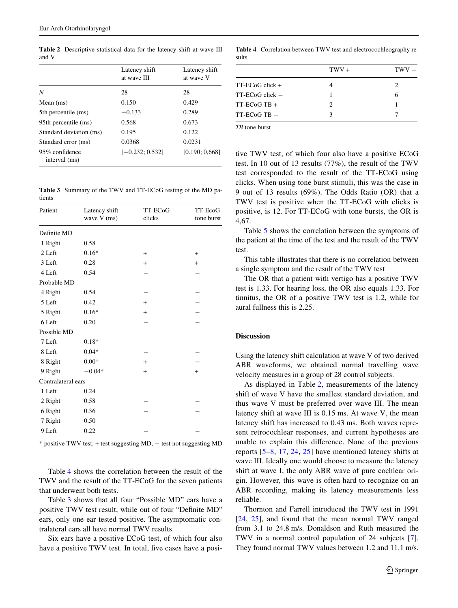<span id="page-4-0"></span>**Table 2** Descriptive statistical data for the latency shift at wave III and V

|                                 | Latency shift<br>at wave III | Latency shift<br>at wave V |
|---------------------------------|------------------------------|----------------------------|
| N                               | 28                           | 28                         |
| Mean $(ms)$                     | 0.150                        | 0.429                      |
| 5th percentile (ms)             | $-0.133$                     | 0.289                      |
| 95th percentile (ms)            | 0.568                        | 0.673                      |
| Standard deviation (ms)         | 0.195                        | 0.122                      |
| Standard error (ms)             | 0.0368                       | 0.0231                     |
| 95% confidence<br>interval (ms) | $[-0.232; 0.532]$            | [0.190; 0.668]             |

<span id="page-4-1"></span>**Table 3** Summary of the TWV and TT-ECoG testing of the MD patients

| Patient            | Latency shift<br>wave V (ms) | TT-ECoG<br>clicks | TT-EcoG<br>tone burst |
|--------------------|------------------------------|-------------------|-----------------------|
| Definite MD        |                              |                   |                       |
| 1 Right            | 0.58                         |                   |                       |
| 2 Left             | $0.16*$                      | $+$               | $+$                   |
| 3 Left             | 0.28                         | $+$               | $+$                   |
| 4 Left             | 0.54                         |                   |                       |
| Probable MD        |                              |                   |                       |
| 4 Right            | 0.54                         |                   |                       |
| 5 Left             | 0.42                         | $+$               |                       |
| 5 Right            | $0.16*$                      | $+$               |                       |
| 6 Left             | 0.20                         |                   |                       |
| Possible MD        |                              |                   |                       |
| 7 Left             | $0.18*$                      |                   |                       |
| 8 Left             | $0.04*$                      |                   |                       |
| 8 Right            | $0.00*$                      | $+$               |                       |
| 9 Right            | $-0.04*$                     | $+$               | $+$                   |
| Contralateral ears |                              |                   |                       |
| 1 Left             | 0.24                         |                   |                       |
| 2 Right            | 0.58                         |                   |                       |
| 6 Right            | 0.36                         |                   |                       |
| 7 Right            | 0.50                         |                   |                       |
| 9 Left             | 0.22                         |                   |                       |

 $*$  positive TWV test,  $+$  test suggesting MD,  $-$  test not suggesting MD

Table [4](#page-4-2) shows the correlation between the result of the TWV and the result of the TT-ECoG for the seven patients that underwent both tests.

Table [3](#page-4-1) shows that all four "Possible MD" ears have a positive TWV test result, while out of four "Definite MD" ears, only one ear tested positive. The asymptomatic contralateral ears all have normal TWV results.

Six ears have a positive ECoG test, of which four also have a positive TWV test. In total, five cases have a posi-

<span id="page-4-2"></span>**Table 4** Correlation between TWV test and electrocochleography results

| $TWV +$ | TWV |
|---------|-----|
|         | 2   |
|         |     |
| 2       |     |
| 3       |     |
|         |     |

*TB* tone burst

tive TWV test, of which four also have a positive ECoG test. In 10 out of 13 results (77%), the result of the TWV test corresponded to the result of the TT-ECoG using clicks. When using tone burst stimuli, this was the case in 9 out of 13 results (69%). The Odds Ratio (OR) that a TWV test is positive when the TT-ECoG with clicks is positive, is 12. For TT-ECoG with tone bursts, the OR is 4,67.

Table [5](#page-5-0) shows the correlation between the symptoms of the patient at the time of the test and the result of the TWV test.

This table illustrates that there is no correlation between a single symptom and the result of the TWV test

The OR that a patient with vertigo has a positive TWV test is 1.33. For hearing loss, the OR also equals 1.33. For tinnitus, the OR of a positive TWV test is 1.2, while for aural fullness this is 2.25.

## **Discussion**

Using the latency shift calculation at wave V of two derived ABR waveforms, we obtained normal travelling wave velocity measures in a group of 28 control subjects.

As displayed in Table [2,](#page-4-0) measurements of the latency shift of wave V have the smallest standard deviation, and thus wave V must be preferred over wave III. The mean latency shift at wave III is 0.15 ms. At wave V, the mean latency shift has increased to 0.43 ms. Both waves represent retrocochlear responses, and current hypotheses are unable to explain this difference. None of the previous reports [\[5](#page-6-17)[–8](#page-6-18), [17](#page-6-19), [24](#page-6-14), [25\]](#page-6-11) have mentioned latency shifts at wave III. Ideally one would choose to measure the latency shift at wave I, the only ABR wave of pure cochlear origin. However, this wave is often hard to recognize on an ABR recording, making its latency measurements less reliable.

Thornton and Farrell introduced the TWV test in 1991 [\[24](#page-6-14), [25\]](#page-6-11), and found that the mean normal TWV ranged from 3.1 to 24.8 m/s. Donaldson and Ruth measured the TWV in a normal control population of 24 subjects [\[7](#page-6-20)]. They found normal TWV values between 1.2 and 11.1 m/s.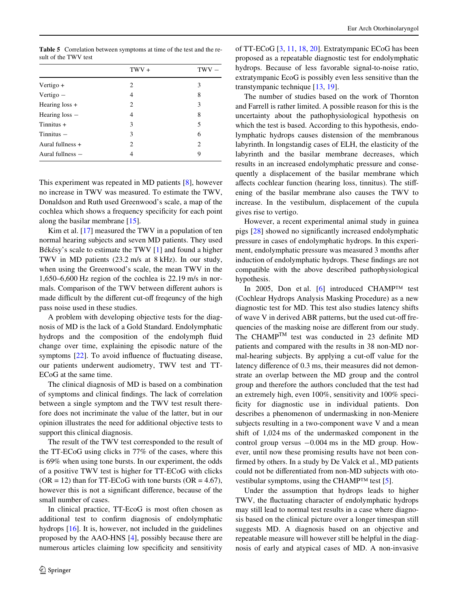<span id="page-5-0"></span>**Table 5** Correlation between symptoms at time of the test and the result of the TWV test

|                    | $TWV +$ | <b>TWV</b> |
|--------------------|---------|------------|
| Vertigo +          | 2       | 3          |
| Vertigo $-$        | 4       | 8          |
| Hearing $loss +$   | 2       | 3          |
| Hearing $loss$ –   | 4       | 8          |
| $T$ innitus +      | 3       | 5          |
| $T$ innitus $-$    | 3       | 6          |
| Aural fullness +   | 2       | 2          |
| Aural fullness $-$ | 4       | 9          |

This experiment was repeated in MD patients [[8](#page-6-18)], however no increase in TWV was measured. To estimate the TWV, Donaldson and Ruth used Greenwood's scale, a map of the cochlea which shows a frequency specificity for each point along the basilar membrane [[15\]](#page-6-21).

Kim et al. [[17\]](#page-6-19) measured the TWV in a population of ten normal hearing subjects and seven MD patients. They used Békésy's scale to estimate the TWV [[1\]](#page-6-22) and found a higher TWV in MD patients (23.2 m/s at 8 kHz). In our study, when using the Greenwood's scale, the mean TWV in the 1,650–6,600 Hz region of the cochlea is 22.19 m/s in normals. Comparison of the TWV between different auhors is made difficult by the different cut-off freqeuncy of the high pass noise used in these studies.

A problem with developing objective tests for the diagnosis of MD is the lack of a Gold Standard. Endolymphatic hydrops and the composition of the endolymph fluid change over time, explaining the episodic nature of the symptoms  $[22]$  $[22]$ . To avoid influence of fluctuating disease, our patients underwent audiometry, TWV test and TT-ECoG at the same time.

The clinical diagnosis of MD is based on a combination of symptoms and clinical findings. The lack of correlation between a single symptom and the TWV test result therefore does not incriminate the value of the latter, but in our opinion illustrates the need for additional objective tests to support this clinical diagnosis.

The result of the TWV test corresponded to the result of the TT-ECoG using clicks in 77% of the cases, where this is 69% when using tone bursts. In our experiment, the odds of a positive TWV test is higher for TT-ECoG with clicks  $(OR = 12)$  than for TT-ECoG with tone bursts  $(OR = 4.67)$ , however this is not a significant difference, because of the small number of cases.

In clinical practice, TT-EcoG is most often chosen as additional test to confirm diagnosis of endolymphatic hydrops [[16](#page-6-23)]. It is, however, not included in the guidelines proposed by the AAO-HNS [[4\]](#page-6-0), possibly because there are numerous articles claiming low specificity and sensitivity of TT-ECoG [\[3](#page-6-24), [11](#page-6-25), [18,](#page-6-26) [20\]](#page-6-27). Extratympanic ECoG has been proposed as a repeatable diagnostic test for endolymphatic hydrops. Because of less favorable signal-to-noise ratio, extratympanic EcoG is possibly even less sensitive than the transtympanic technique [[13,](#page-6-28) [19\]](#page-6-7).

The number of studies based on the work of Thornton and Farrell is rather limited. A possible reason for this is the uncertainty about the pathophysiological hypothesis on which the test is based. According to this hypothesis, endolymphatic hydrops causes distension of the membranous labyrinth. In longstandig cases of ELH, the elasticity of the labyrinth and the basilar membrane decreases, which results in an increased endolymphatic pressure and consequently a displacement of the basilar membrane which affects cochlear function (hearing loss, tinnitus). The stiffening of the basilar membrane also causes the TWV to increase. In the vestibulum, displacement of the cupula gives rise to vertigo.

However, a recent experimental animal study in guinea pigs  $[28]$  $[28]$  showed no significantly increased endolymphatic pressure in cases of endolymphatic hydrops. In this experiment, endolymphatic pressure was measured 3 months after induction of endolymphatic hydrops. These findings are not compatible with the above described pathophysiological hypothesis.

In 2005, Don et al.  $[6]$  $[6]$  introduced CHAMP<sup>TM</sup> test (Cochlear Hydrops Analysis Masking Procedure) as a new diagnostic test for MD. This test also studies latency shifts of wave V in derived ABR patterns, but the used cut-off frequencies of the masking noise are different from our study. The CHAMP<sup>TM</sup> test was conducted in 23 definite MD patients and compared with the results in 38 non-MD normal-hearing subjects. By applying a cut-off value for the latency difference of 0.3 ms, their measures did not demonstrate an overlap between the MD group and the control group and therefore the authors concluded that the test had an extremely high, even 100%, sensitivity and 100% specificity for diagnostic use in individual patients. Don describes a phenomenon of undermasking in non-Meniere subjects resulting in a two-component wave V and a mean shift of 1,024 ms of the undermasked component in the control group versus  $-0.004$  ms in the MD group. However, until now these promising results have not been confirmed by others. In a study by De Valck et al., MD patients could not be differentiated from non-MD subjects with oto-vestibular symptoms, using the CHAMP<sup>TM</sup> test [[5\]](#page-6-17).

Under the assumption that hydrops leads to higher TWV, the fluctuating character of endolymphatic hydrops may still lead to normal test results in a case where diagnosis based on the clinical picture over a longer timespan still suggests MD. A diagnosis based on an objective and repeatable measure will however still be helpful in the diagnosis of early and atypical cases of MD. A non-invasive